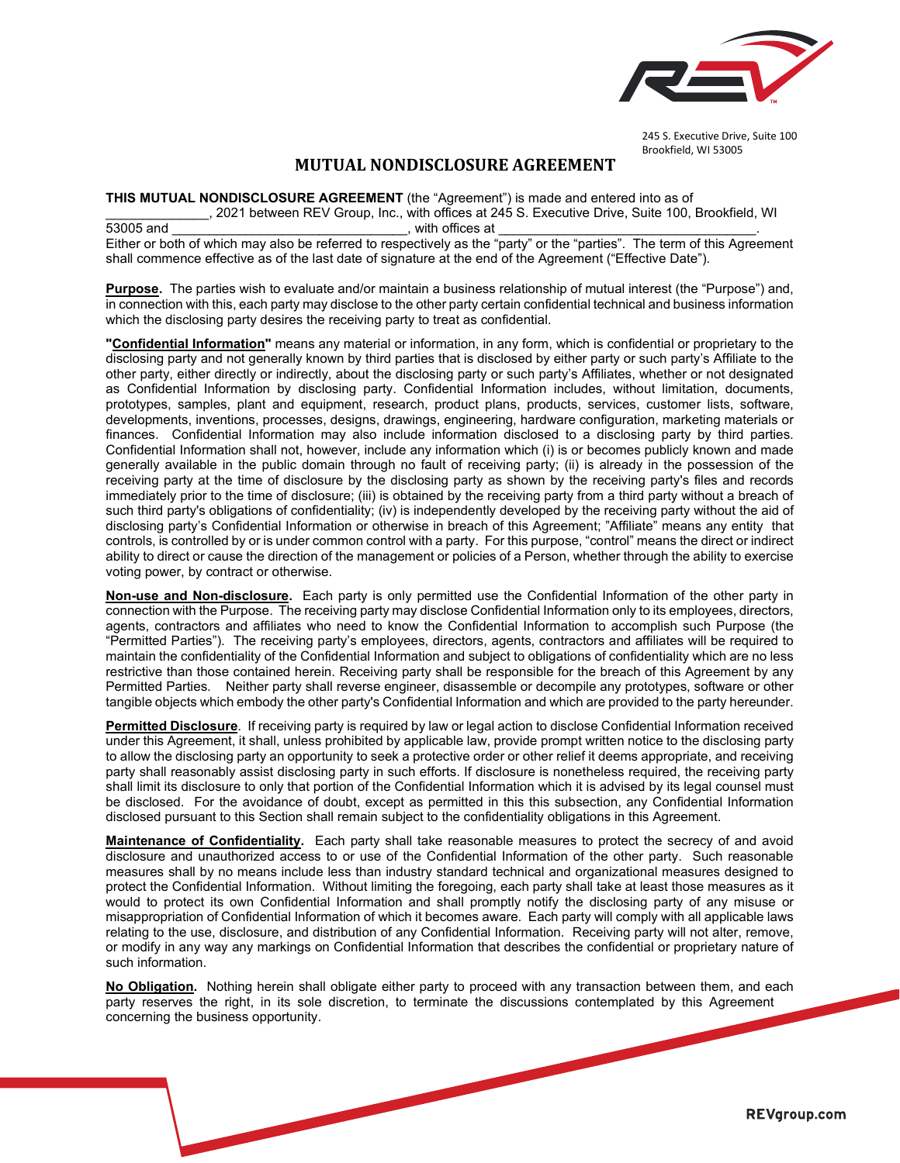

245 S. Executive Drive, Suite 100 Brookfield, WI 53005

## **MUTUAL NONDISCLOSURE AGREEMENT**

**THIS MUTUAL NONDISCLOSURE AGREEMENT** (the "Agreement") is made and entered into as of

\_\_\_\_\_\_\_\_\_\_\_\_\_\_, 2021 between REV Group, Inc., with offices at 245 S. Executive Drive, Suite 100, Brookfield, WI 53005 and \_\_\_\_\_\_\_\_\_\_\_\_\_\_\_\_\_\_\_\_\_\_\_\_\_\_\_\_\_\_\_\_, with offices at \_\_\_\_\_\_\_\_\_\_\_\_\_\_\_\_\_\_\_\_\_\_\_\_\_\_\_\_\_\_\_\_\_\_\_.

Either or both of which may also be referred to respectively as the "party" or the "parties". The term of this Agreement shall commence effective as of the last date of signature at the end of the Agreement ("Effective Date").

**Purpose.** The parties wish to evaluate and/or maintain a business relationship of mutual interest (the "Purpose") and, in connection with this, each party may disclose to the other party certain confidential technical and business information which the disclosing party desires the receiving party to treat as confidential.

**"Confidential Information"** means any material or information, in any form, which is confidential or proprietary to the disclosing party and not generally known by third parties that is disclosed by either party or such party's Affiliate to the other party, either directly or indirectly, about the disclosing party or such party's Affiliates, whether or not designated as Confidential Information by disclosing party. Confidential Information includes, without limitation, documents, prototypes, samples, plant and equipment, research, product plans, products, services, customer lists, software, developments, inventions, processes, designs, drawings, engineering, hardware configuration, marketing materials or finances. Confidential Information may also include information disclosed to a disclosing party by third parties. Confidential Information shall not, however, include any information which (i) is or becomes publicly known and made generally available in the public domain through no fault of receiving party; (ii) is already in the possession of the receiving party at the time of disclosure by the disclosing party as shown by the receiving party's files and records immediately prior to the time of disclosure; (iii) is obtained by the receiving party from a third party without a breach of such third party's obligations of confidentiality; (iv) is independently developed by the receiving party without the aid of disclosing party's Confidential Information or otherwise in breach of this Agreement; "Affiliate" means any entity that controls, is controlled by or is under common control with a party. For this purpose, "control" means the direct or indirect ability to direct or cause the direction of the management or policies of a Person, whether through the ability to exercise voting power, by contract or otherwise.

**Non-use and Non-disclosure.** Each party is only permitted use the Confidential Information of the other party in connection with the Purpose. The receiving party may disclose Confidential Information only to its employees, directors, agents, contractors and affiliates who need to know the Confidential Information to accomplish such Purpose (the "Permitted Parties"). The receiving party's employees, directors, agents, contractors and affiliates will be required to maintain the confidentiality of the Confidential Information and subject to obligations of confidentiality which are no less restrictive than those contained herein. Receiving party shall be responsible for the breach of this Agreement by any Permitted Parties. Neither party shall reverse engineer, disassemble or decompile any prototypes, software or other tangible objects which embody the other party's Confidential Information and which are provided to the party hereunder.

**Permitted Disclosure**. If receiving party is required by law or legal action to disclose Confidential Information received under this Agreement, it shall, unless prohibited by applicable law, provide prompt written notice to the disclosing party to allow the disclosing party an opportunity to seek a protective order or other relief it deems appropriate, and receiving party shall reasonably assist disclosing party in such efforts. If disclosure is nonetheless required, the receiving party shall limit its disclosure to only that portion of the Confidential Information which it is advised by its legal counsel must be disclosed. For the avoidance of doubt, except as permitted in this this subsection, any Confidential Information disclosed pursuant to this Section shall remain subject to the confidentiality obligations in this Agreement.

**Maintenance of Confidentiality.** Each party shall take reasonable measures to protect the secrecy of and avoid disclosure and unauthorized access to or use of the Confidential Information of the other party. Such reasonable measures shall by no means include less than industry standard technical and organizational measures designed to protect the Confidential Information. Without limiting the foregoing, each party shall take at least those measures as it would to protect its own Confidential Information and shall promptly notify the disclosing party of any misuse or misappropriation of Confidential Information of which it becomes aware. Each party will comply with all applicable laws relating to the use, disclosure, and distribution of any Confidential Information. Receiving party will not alter, remove, or modify in any way any markings on Confidential Information that describes the confidential or proprietary nature of such information.

**No Obligation.** Nothing herein shall obligate either party to proceed with any transaction between them, and each party reserves the right, in its sole discretion, to terminate the discussions contemplated by this Agreement concerning the business opportunity.